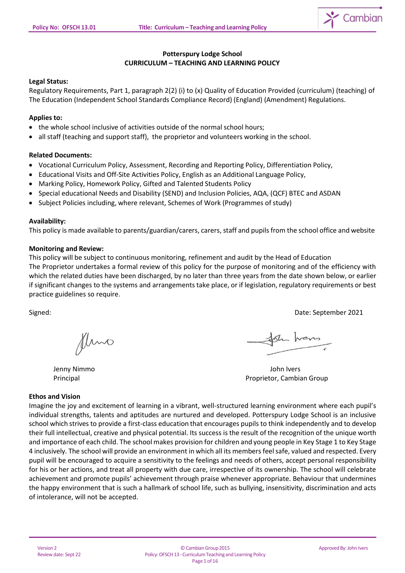

# **Potterspury Lodge School CURRICULUM – TEACHING AND LEARNING POLICY**

## **Legal Status:**

Regulatory Requirements, Part 1, paragraph 2(2) (i) to (x) Quality of Education Provided (curriculum) (teaching) of The Education (Independent School Standards Compliance Record) (England) (Amendment) Regulations.

# **Applies to:**

- the whole school inclusive of activities outside of the normal school hours;
- all staff (teaching and support staff), the proprietor and volunteers working in the school.

## **Related Documents:**

- Vocational Curriculum Policy, Assessment, Recording and Reporting Policy, Differentiation Policy,
- Educational Visits and Off-Site Activities Policy, English as an Additional Language Policy,
- Marking Policy, Homework Policy, Gifted and Talented Students Policy
- Special educational Needs and Disability (SEND) and Inclusion Policies, AQA, (QCF) BTEC and ASDAN
- Subject Policies including, where relevant, Schemes of Work (Programmes of study)

## **Availability:**

This policy is made available to parents/guardian/carers, carers, staff and pupils from the school office and website

## **Monitoring and Review:**

This policy will be subject to continuous monitoring, refinement and audit by the Head of Education The Proprietor undertakes a formal review of this policy for the purpose of monitoring and of the efficiency with which the related duties have been discharged, by no later than three years from the date shown below, or earlier if significant changes to the systems and arrangements take place, or if legislation, regulatory requirements or best practice guidelines so require.

Signed: Date: September 2021

fluno

Sh hers

Jenny Nimmo John Ivers Principal Proprietor, Cambian Group

## **Ethos and Vision**

Imagine the joy and excitement of learning in a vibrant, well-structured learning environment where each pupil's individual strengths, talents and aptitudes are nurtured and developed. Potterspury Lodge School is an inclusive school which strives to provide a first-class education that encourages pupils to think independently and to develop their full intellectual, creative and physical potential. Its success is the result of the recognition of the unique worth and importance of each child. The school makes provision for children and young people in Key Stage 1 to Key Stage 4 inclusively. The school will provide an environment in which all its members feelsafe, valued and respected. Every pupil will be encouraged to acquire a sensitivity to the feelings and needs of others, accept personal responsibility for his or her actions, and treat all property with due care, irrespective of its ownership. The school will celebrate achievement and promote pupils' achievement through praise whenever appropriate. Behaviour that undermines the happy environment that is such a hallmark of school life, such as bullying, insensitivity, discrimination and acts of intolerance, will not be accepted.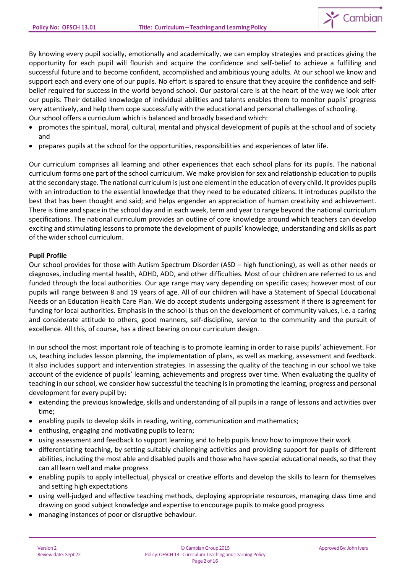

By knowing every pupil socially, emotionally and academically, we can employ strategies and practices giving the opportunity for each pupil will flourish and acquire the confidence and self-belief to achieve a fulfilling and successful future and to become confident, accomplished and ambitious young adults. At our school we know and support each and every one of our pupils. No effort is spared to ensure that they acquire the confidence and selfbelief required for success in the world beyond school. Our pastoral care is at the heart of the way we look after our pupils. Their detailed knowledge of individual abilities and talents enables them to monitor pupils' progress very attentively, and help them cope successfully with the educational and personal challenges of schooling. Our school offers a curriculum which is balanced and broadly based and which:

- promotes the spiritual, moral, cultural, mental and physical development of pupils at the school and of society and
- prepares pupils at the school for the opportunities, responsibilities and experiences of later life.

Our curriculum comprises all learning and other experiences that each school plans for its pupils. The national curriculum forms one part of the school curriculum. We make provision for sex and relationship education to pupils at the secondary stage. The national curriculum is just one element in the education of every child. It provides pupils with an introduction to the essential knowledge that they need to be educated citizens. It introduces pupilsto the best that has been thought and said; and helps engender an appreciation of human creativity and achievement. There is time and space in the school day and in each week, term and year to range beyond the national curriculum specifications. The national curriculum provides an outline of core knowledge around which teachers can develop exciting and stimulating lessons to promote the development of pupils' knowledge, understanding and skills as part of the wider school curriculum.

## **Pupil Profile**

Our school provides for those with Autism Spectrum Disorder (ASD – high functioning), as well as other needs or diagnoses, including mental health, ADHD, ADD, and other difficulties. Most of our children are referred to us and funded through the local authorities. Our age range may vary depending on specific cases; however most of our pupils will range between 8 and 19 years of age. All of our children will have a Statement of Special Educational Needs or an Education Health Care Plan. We do accept students undergoing assessment if there is agreement for funding for local authorities. Emphasis in the school is thus on the development of community values, i.e. a caring and considerate attitude to others, good manners, self-discipline, service to the community and the pursuit of excellence. All this, of course, has a direct bearing on our curriculum design.

In our school the most important role of teaching is to promote learning in order to raise pupils' achievement. For us, teaching includes lesson planning, the implementation of plans, as well as marking, assessment and feedback. It also includes support and intervention strategies. In assessing the quality of the teaching in our school we take account of the evidence of pupils' learning, achievements and progress over time. When evaluating the quality of teaching in ourschool, we consider how successful the teaching is in promoting the learning, progress and personal development for every pupil by:

- extending the previous knowledge, skills and understanding of all pupils in a range of lessons and activities over time;
- enabling pupils to develop skills in reading, writing, communication and mathematics;
- enthusing, engaging and motivating pupils to learn;
- using assessment and feedback to support learning and to help pupils know how to improve their work
- differentiating teaching, by setting suitably challenging activities and providing support for pupils of different abilities, including the most able and disabled pupils and those who have special educational needs, so that they can all learn well and make progress
- enabling pupils to apply intellectual, physical or creative efforts and develop the skills to learn for themselves and setting high expectations
- using well-judged and effective teaching methods, deploying appropriate resources, managing class time and drawing on good subject knowledge and expertise to encourage pupils to make good progress
- managing instances of poor or disruptive behaviour.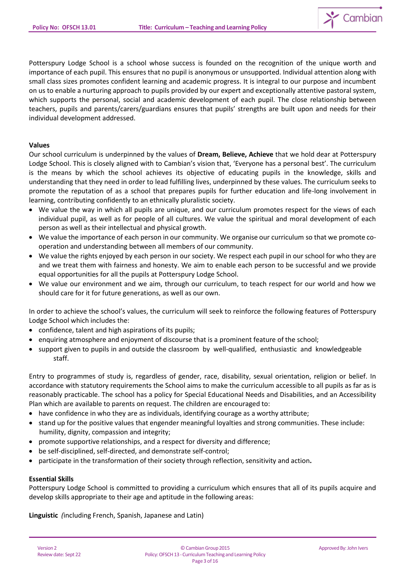

Potterspury Lodge School is a school whose success is founded on the recognition of the unique worth and importance of each pupil. This ensures that no pupil is anonymous or unsupported. Individual attention along with small class sizes promotes confident learning and academic progress. It is integral to our purpose and incumbent on us to enable a nurturing approach to pupils provided by our expert and exceptionally attentive pastoral system, which supports the personal, social and academic development of each pupil. The close relationship between teachers, pupils and parents/carers/guardians ensures that pupils' strengths are built upon and needs for their individual development addressed.

### **Values**

Our school curriculum is underpinned by the values of **Dream, Believe, Achieve** that we hold dear at Potterspury Lodge School. This is closely aligned with to Cambian's vision that, 'Everyone has a personal best'. The curriculum is the means by which the school achieves its objective of educating pupils in the knowledge, skills and understanding that they need in order to lead fulfilling lives, underpinned by these values. The curriculum seeks to promote the reputation of as a school that prepares pupils for further education and life-long involvement in learning, contributing confidently to an ethnically pluralistic society.

- We value the way in which all pupils are unique, and our curriculum promotes respect for the views of each individual pupil, as well as for people of all cultures. We value the spiritual and moral development of each person as well as their intellectual and physical growth.
- We value the importance of each person in our community. We organise our curriculum so that we promote cooperation and understanding between all members of our community.
- We value the rights enjoyed by each person in our society. We respect each pupil in our school for who they are and we treat them with fairness and honesty. We aim to enable each person to be successful and we provide equal opportunities for all the pupils at Potterspury Lodge School.
- We value our environment and we aim, through our curriculum, to teach respect for our world and how we should care for it for future generations, as well as our own.

In order to achieve the school's values, the curriculum will seek to reinforce the following features of Potterspury Lodge School which includes the:

- confidence, talent and high aspirations of its pupils;
- enquiring atmosphere and enjoyment of discourse that is a prominent feature of the school;
- support given to pupils in and outside the classroom by well-qualified, enthusiastic and knowledgeable staff.

Entry to programmes of study is, regardless of gender, race, disability, sexual orientation, religion or belief. In accordance with statutory requirements the School aims to make the curriculum accessible to all pupils as far as is reasonably practicable. The school has a policy for Special Educational Needs and Disabilities, and an Accessibility Plan which are available to parents on request. The children are encouraged to:

- have confidence in who they are as individuals, identifying courage as a worthy attribute;
- stand up for the positive values that engender meaningful loyalties and strong communities. These include: humility, dignity, compassion and integrity;
- promote supportive relationships, and a respect for diversity and difference;
- be self-disciplined, self-directed, and demonstrate self-control;
- participate in the transformation of their society through reflection, sensitivity and action**.**

## **Essential Skills**

Potterspury Lodge School is committed to providing a curriculum which ensures that all of its pupils acquire and develop skills appropriate to their age and aptitude in the following areas:

**Linguistic** *(*including French, Spanish, Japanese and Latin)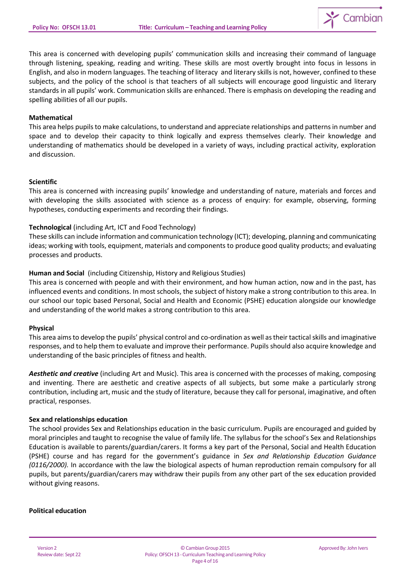

This area is concerned with developing pupils' communication skills and increasing their command of language through listening, speaking, reading and writing. These skills are most overtly brought into focus in lessons in English, and also in modern languages. The teaching of literacy and literary skills is not, however, confined to these subjects, and the policy of the school is that teachers of all subjects will encourage good linguistic and literary standards in all pupils' work. Communication skills are enhanced. There is emphasis on developing the reading and spelling abilities of all our pupils.

### **Mathematical**

This area helps pupilsto make calculations, to understand and appreciate relationships and patternsin number and space and to develop their capacity to think logically and express themselves clearly. Their knowledge and understanding of mathematics should be developed in a variety of ways, including practical activity, exploration and discussion.

#### **Scientific**

This area is concerned with increasing pupils' knowledge and understanding of nature, materials and forces and with developing the skills associated with science as a process of enquiry: for example, observing, forming hypotheses, conducting experiments and recording their findings.

### **Technological** (including Art, ICT and Food Technology)

These skills can include information and communication technology (ICT); developing, planning and communicating ideas; working with tools, equipment, materials and components to produce good quality products; and evaluating processes and products.

### **Human and Social** (including Citizenship, History and Religious Studies)

This area is concerned with people and with their environment, and how human action, now and in the past, has influenced events and conditions. In most schools, the subject of history make a strong contribution to this area. In our school our topic based Personal, Social and Health and Economic (PSHE) education alongside our knowledge and understanding of the world makes a strong contribution to this area.

#### **Physical**

This area aimsto develop the pupils' physical control and co-ordination as well astheir tacticalskills and imaginative responses, and to help them to evaluate and improve their performance. Pupils should also acquire knowledge and understanding of the basic principles of fitness and health.

*Aesthetic and creative* (including Art and Music). This area is concerned with the processes of making, composing and inventing. There are aesthetic and creative aspects of all subjects, but some make a particularly strong contribution, including art, music and the study of literature, because they call for personal, imaginative, and often practical, responses.

#### **Sex and relationships education**

The school provides Sex and Relationships education in the basic curriculum. Pupils are encouraged and guided by moral principles and taught to recognise the value of family life. The syllabus for the school's Sex and Relationships Education is available to parents/guardian/carers. It forms a key part of the Personal, Social and Health Education (PSHE) course and has regard for the government's guidance in *Sex and Relationship Education Guidance (0116/2000).* In accordance with the law the biological aspects of human reproduction remain compulsory for all pupils, but parents/guardian/carers may withdraw their pupils from any other part of the sex education provided without giving reasons.

#### **Political education**

Version 2 Review date: Sept 22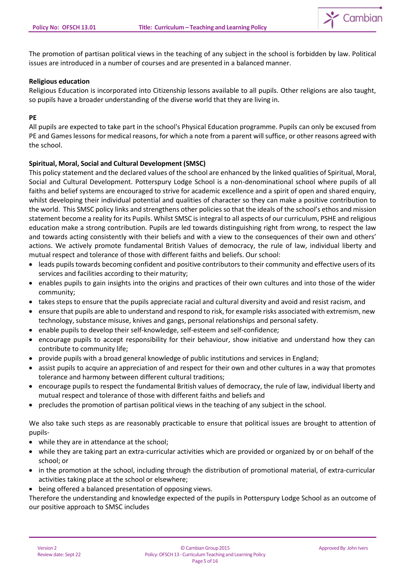

The promotion of partisan political views in the teaching of any subject in the school is forbidden by law. Political issues are introduced in a number of courses and are presented in a balanced manner.

### **Religious education**

Religious Education is incorporated into Citizenship lessons available to all pupils. Other religions are also taught, so pupils have a broader understanding of the diverse world that they are living in.

### **PE**

All pupils are expected to take part in the school's Physical Education programme. Pupils can only be excused from PE and Games lessons for medical reasons, for which a note from a parent will suffice, or other reasons agreed with the school.

### **Spiritual, Moral, Social and Cultural Development (SMSC)**

This policy statement and the declared values of the school are enhanced by the linked qualities of Spiritual, Moral, Social and Cultural Development. Potterspury Lodge School is a non-denominational school where pupils of all faiths and belief systems are encouraged to strive for academic excellence and a spirit of open and shared enquiry, whilst developing their individual potential and qualities of character so they can make a positive contribution to the world. This SMSC policy links and strengthens other policies so that the ideals of the school's ethos and mission statement become a reality for its Pupils. Whilst SMSC is integral to all aspects of our curriculum, PSHE and religious education make a strong contribution. Pupils are led towards distinguishing right from wrong, to respect the law and towards acting consistently with their beliefs and with a view to the consequences of their own and others' actions. We actively promote fundamental British Values of democracy, the rule of law, individual liberty and mutual respect and tolerance of those with different faiths and beliefs. Our school:

- leads pupils towards becoming confident and positive contributors to their community and effective users of its services and facilities according to their maturity;
- enables pupils to gain insights into the origins and practices of their own cultures and into those of the wider community;
- takes steps to ensure that the pupils appreciate racial and cultural diversity and avoid and resist racism, and
- ensure that pupils are able to understand and respond to risk, for example risks associated with extremism, new technology, substance misuse, knives and gangs, personal relationships and personal safety.
- enable pupils to develop their self-knowledge, self-esteem and self-confidence;
- encourage pupils to accept responsibility for their behaviour, show initiative and understand how they can contribute to community life;
- provide pupils with a broad general knowledge of public institutions and services in England;
- assist pupils to acquire an appreciation of and respect for their own and other cultures in a way that promotes tolerance and harmony between different cultural traditions;
- encourage pupils to respect the fundamental British values of democracy, the rule of law, individual liberty and mutual respect and tolerance of those with different faiths and beliefs and
- precludes the promotion of partisan political views in the teaching of any subject in the school.

We also take such steps as are reasonably practicable to ensure that political issues are brought to attention of pupils-

- while they are in attendance at the school;
- while they are taking part an extra-curricular activities which are provided or organized by or on behalf of the school; or
- in the promotion at the school, including through the distribution of promotional material, of extra-curricular activities taking place at the school or elsewhere;
- being offered a balanced presentation of opposing views.

Therefore the understanding and knowledge expected of the pupils in Potterspury Lodge School as an outcome of our positive approach to SMSC includes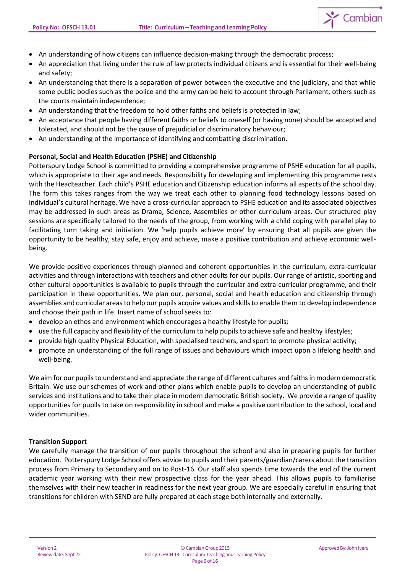

- An understanding of how citizens can influence decision-making through the democratic process;
- An appreciation that living under the rule of law protects individual citizens and is essential for their well-being and safety;
- An understanding that there is a separation of power between the executive and the judiciary, and that while some public bodies such as the police and the army can be held to account through Parliament, others such as the courts maintain independence;
- An understanding that the freedom to hold other faiths and beliefs is protected in law;
- An acceptance that people having different faiths or beliefs to oneself (or having none) should be accepted and tolerated, and should not be the cause of prejudicial or discriminatory behaviour;
- An understanding of the importance of identifying and combatting discrimination.

## **Personal, Social and Health Education (PSHE) and Citizenship**

Potterspury Lodge School is committed to providing a comprehensive programme of PSHE education for all pupils, which is appropriate to their age and needs. Responsibility for developing and implementing this programme rests with the Headteacher. Each child's PSHE education and Citizenship education informs all aspects of the school day. The form this takes ranges from the way we treat each other to planning food technology lessons based on individual's cultural heritage. We have a cross-curricular approach to PSHE education and its associated objectives may be addressed in such areas as Drama, Science, Assemblies or other curriculum areas. Our structured play sessions are specifically tailored to the needs of the group, from working with a child coping with parallel play to facilitating turn taking and initiation. We 'help pupils achieve more' by ensuring that all pupils are given the opportunity to be healthy, stay safe, enjoy and achieve, make a positive contribution and achieve economic wellbeing.

We provide positive experiences through planned and coherent opportunities in the curriculum, extra-curricular activities and through interactions with teachers and other adults for our pupils. Our range of artistic, sporting and other cultural opportunities is available to pupils through the curricular and extra-curricular programme, and their participation in these opportunities. We plan our, personal, social and health education and citizenship through assemblies and curricular areas to help our pupils acquire values and skillsto enable them to develop independence and choose their path in life. Insert name of school seeks to:

- develop an ethos and environment which encourages a healthy lifestyle for pupils;
- use the full capacity and flexibility of the curriculum to help pupils to achieve safe and healthy lifestyles;
- provide high quality Physical Education, with specialised teachers, and sport to promote physical activity;
- promote an understanding of the full range of issues and behaviours which impact upon a lifelong health and well-being.

We aim for our pupils to understand and appreciate the range of different cultures and faiths in modern democratic Britain. We use our schemes of work and other plans which enable pupils to develop an understanding of public services and institutions and to take their place in modern democratic British society. We provide a range of quality opportunities for pupils to take on responsibility in school and make a positive contribution to the school, local and wider communities.

## **Transition Support**

We carefully manage the transition of our pupils throughout the school and also in preparing pupils for further education. Potterspury Lodge School offers advice to pupils and their parents/guardian/carers about the transition process from Primary to Secondary and on to Post-16. Our staff also spends time towards the end of the current academic year working with their new prospective class for the year ahead. This allows pupils to familiarise themselves with their new teacher in readiness for the next year group. We are especially careful in ensuring that transitions for children with SEND are fully prepared at each stage both internally and externally.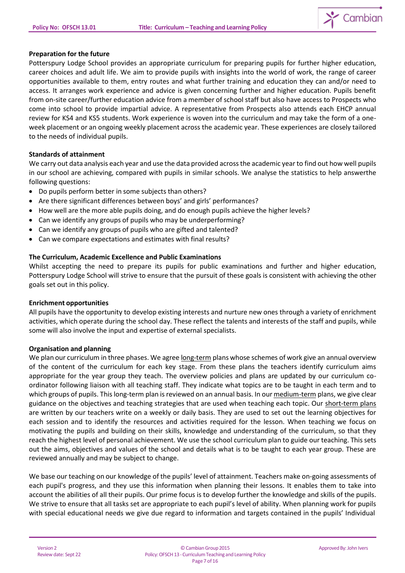

### **Preparation for the future**

Potterspury Lodge School provides an appropriate curriculum for preparing pupils for further higher education, career choices and adult life. We aim to provide pupils with insights into the world of work, the range of career opportunities available to them, entry routes and what further training and education they can and/or need to access. It arranges work experience and advice is given concerning further and higher education. Pupils benefit from on-site career/further education advice from a member of school staff but also have access to Prospects who come into school to provide impartial advice. A representative from Prospects also attends each EHCP annual review for KS4 and KS5 students. Work experience is woven into the curriculum and may take the form of a oneweek placement or an ongoing weekly placement across the academic year. These experiences are closely tailored to the needs of individual pupils.

### **Standards of attainment**

We carry out data analysis each year and use the data provided across the academic year to find out how well pupils in our school are achieving, compared with pupils in similar schools. We analyse the statistics to help answerthe following questions:

- Do pupils perform better in some subjects than others?
- Are there significant differences between boys' and girls' performances?
- How well are the more able pupils doing, and do enough pupils achieve the higher levels?
- Can we identify any groups of pupils who may be underperforming?
- Can we identify any groups of pupils who are gifted and talented?
- Can we compare expectations and estimates with final results?

### **The Curriculum, Academic Excellence and Public Examinations**

Whilst accepting the need to prepare its pupils for public examinations and further and higher education, Potterspury Lodge School will strive to ensure that the pursuit of these goals is consistent with achieving the other goals set out in this policy.

#### **Enrichment opportunities**

All pupils have the opportunity to develop existing interests and nurture new ones through a variety of enrichment activities, which operate during the school day. These reflect the talents and interests of the staff and pupils, while some will also involve the input and expertise of external specialists.

#### **Organisation and planning**

We plan our curriculum in three phases. We agree long-term plans whose schemes of work give an annual overview of the content of the curriculum for each key stage. From these plans the teachers identify curriculum aims appropriate for the year group they teach. The overview policies and plans are updated by our curriculum coordinator following liaison with all teaching staff. They indicate what topics are to be taught in each term and to which groups of pupils. Thislong-term plan is reviewed on an annual basis. In our medium-term plans, we give clear guidance on the objectives and teaching strategies that are used when teaching each topic. Our short-term plans are written by our teachers write on a weekly or daily basis. They are used to set out the learning objectives for each session and to identify the resources and activities required for the lesson. When teaching we focus on motivating the pupils and building on their skills, knowledge and understanding of the curriculum, so that they reach the highest level of personal achievement. We use the school curriculum plan to guide our teaching. Thissets out the aims, objectives and values of the school and details what is to be taught to each year group. These are reviewed annually and may be subject to change.

We base our teaching on our knowledge of the pupils' level of attainment. Teachers make on-going assessments of each pupil's progress, and they use this information when planning their lessons. It enables them to take into account the abilities of all their pupils. Our prime focus is to develop further the knowledge and skills of the pupils. We strive to ensure that all tasks set are appropriate to each pupil's level of ability. When planning work for pupils with special educational needs we give due regard to information and targets contained in the pupils' Individual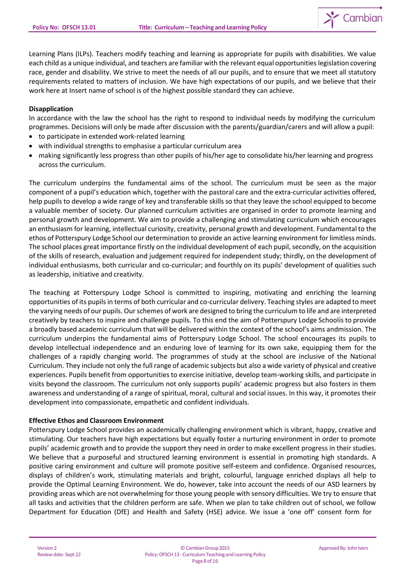

Learning Plans (ILPs). Teachers modify teaching and learning as appropriate for pupils with disabilities. We value each child as a unique individual, and teachers are familiar with the relevant equal opportunities legislation covering race, gender and disability. We strive to meet the needs of all our pupils, and to ensure that we meet all statutory requirements related to matters of inclusion. We have high expectations of our pupils, and we believe that their work here at Insert name of school is of the highest possible standard they can achieve.

### **Disapplication**

In accordance with the law the school has the right to respond to individual needs by modifying the curriculum programmes. Decisions will only be made after discussion with the parents/guardian/carers and will allow a pupil:

- to participate in extended work-related learning
- with individual strengths to emphasise a particular curriculum area
- making significantly less progress than other pupils of his/her age to consolidate his/her learning and progress across the curriculum.

The curriculum underpins the fundamental aims of the school. The curriculum must be seen as the major component of a pupil's education which, together with the pastoral care and the extra-curricular activities offered, help pupils to develop a wide range of key and transferable skills so that they leave the school equipped to become a valuable member of society. Our planned curriculum activities are organised in order to promote learning and personal growth and development. We aim to provide a challenging and stimulating curriculum which encourages an enthusiasm for learning, intellectual curiosity, creativity, personal growth and development. Fundamental to the ethos of Potterspury Lodge School our determination to provide an active learning environment for limitless minds. The school places great importance firstly on the individual development of each pupil, secondly, on the acquisition of the skills of research, evaluation and judgement required for independent study; thirdly, on the development of individual enthusiasms, both curricular and co-curricular; and fourthly on its pupils' development of qualities such as leadership, initiative and creativity.

The teaching at Potterspury Lodge School is committed to inspiring, motivating and enriching the learning opportunities of its pupils in terms of both curricular and co-curricular delivery. Teaching styles are adapted to meet the varying needs of our pupils. Our schemes of work are designed to bring the curriculum to life and are interpreted creatively by teachers to inspire and challenge pupils. To this end the aim of Potterspury Lodge Schoolisto provide a broadly based academic curriculum that will be delivered within the context of the school's aims andmission. The curriculum underpins the fundamental aims of Potterspury Lodge School. The school encourages its pupils to develop intellectual independence and an enduring love of learning for its own sake, equipping them for the challenges of a rapidly changing world. The programmes of study at the school are inclusive of the National Curriculum. They include not only the full range of academic subjects but also a wide variety of physical and creative experiences. Pupils benefit from opportunities to exercise initiative, develop team-working skills, and participate in visits beyond the classroom. The curriculum not only supports pupils' academic progress but also fosters in them awareness and understanding of a range of spiritual, moral, cultural and social issues. In this way, it promotes their development into compassionate, empathetic and confident individuals.

#### **Effective Ethos and Classroom Environment**

Potterspury Lodge School provides an academically challenging environment which is vibrant, happy, creative and stimulating. Our teachers have high expectations but equally foster a nurturing environment in order to promote pupils' academic growth and to provide the support they need in order to make excellent progress in their studies. We believe that a purposeful and structured learning environment is essential in promoting high standards. A positive caring environment and culture will promote positive self-esteem and confidence. Organised resources, displays of children's work, stimulating materials and bright, colourful, language enriched displays all help to provide the Optimal Learning Environment. We do, however, take into account the needs of our ASD learners by providing areas which are not overwhelming for those young people with sensory difficulties. We try to ensure that all tasks and activities that the children perform are safe. When we plan to take children out of school, we follow Department for Education (DfE) and Health and Safety (HSE) advice. We issue a 'one off' consent form for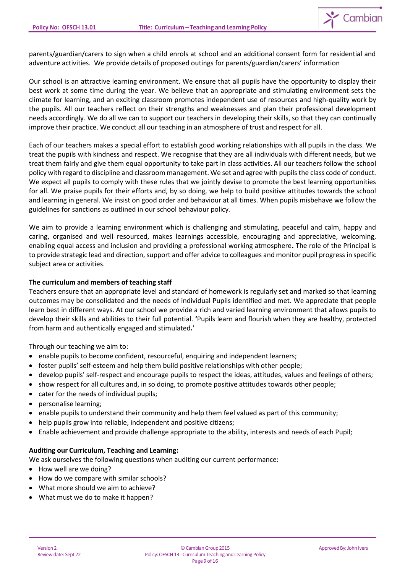

parents/guardian/carers to sign when a child enrols at school and an additional consent form for residential and adventure activities. We provide details of proposed outings for parents/guardian/carers' information

Our school is an attractive learning environment. We ensure that all pupils have the opportunity to display their best work at some time during the year. We believe that an appropriate and stimulating environment sets the climate for learning, and an exciting classroom promotes independent use of resources and high-quality work by the pupils. All our teachers reflect on their strengths and weaknesses and plan their professional development needs accordingly. We do all we can to support our teachers in developing their skills, so that they can continually improve their practice. We conduct all our teaching in an atmosphere of trust and respect for all.

Each of our teachers makes a special effort to establish good working relationships with all pupils in the class. We treat the pupils with kindness and respect. We recognise that they are all individuals with different needs, but we treat them fairly and give them equal opportunity to take part in class activities. All our teachers follow the school policy with regard to discipline and classroom management. We set and agree with pupils the class code of conduct. We expect all pupils to comply with these rules that we jointly devise to promote the best learning opportunities for all. We praise pupils for their efforts and, by so doing, we help to build positive attitudes towards the school and learning in general. We insist on good order and behaviour at all times. When pupils misbehave we follow the guidelines for sanctions as outlined in our school behaviour policy.

We aim to provide a learning environment which is challenging and stimulating, peaceful and calm, happy and caring, organised and well resourced, makes learnings accessible, encouraging and appreciative, welcoming, enabling equal access and inclusion and providing a professional working atmosphere**.** The role of the Principal is to provide strategic lead and direction, support and offer advice to colleagues and monitor pupil progress in specific subject area or activities.

## **The curriculum and members of teaching staff**

Teachers ensure that an appropriate level and standard of homework is regularly set and marked so that learning outcomes may be consolidated and the needs of individual Pupils identified and met. We appreciate that people learn best in different ways. At our school we provide a rich and varied learning environment that allows pupils to develop their skills and abilities to their full potential. **'**Pupils learn and flourish when they are healthy, protected from harm and authentically engaged and stimulated*.*'

Through our teaching we aim to:

- enable pupils to become confident, resourceful, enquiring and independent learners;
- foster pupils' self-esteem and help them build positive relationships with other people;
- develop pupils' self-respect and encourage pupils to respect the ideas, attitudes, values and feelings of others;
- show respect for all cultures and, in so doing, to promote positive attitudes towards other people;
- cater for the needs of individual pupils;
- personalise learning;
- enable pupils to understand their community and help them feel valued as part of this community;
- help pupils grow into reliable, independent and positive citizens;
- Enable achievement and provide challenge appropriate to the ability, interests and needs of each Pupil;

## **Auditing our Curriculum, Teaching and Learning:**

We ask ourselves the following questions when auditing our current performance:

- How well are we doing?
- How do we compare with similar schools?
- What more should we aim to achieve?
- What must we do to make it happen?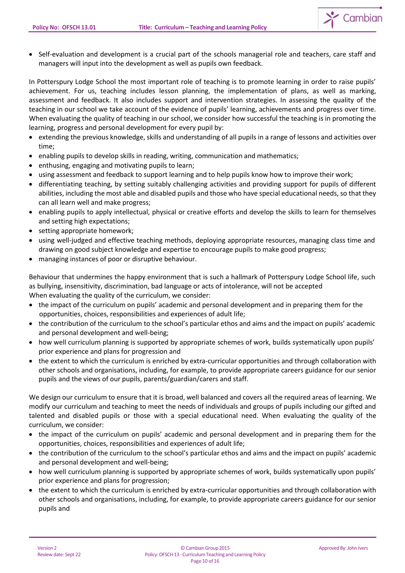

In Potterspury Lodge School the most important role of teaching is to promote learning in order to raise pupils' achievement. For us, teaching includes lesson planning, the implementation of plans, as well as marking, assessment and feedback. It also includes support and intervention strategies. In assessing the quality of the teaching in our school we take account of the evidence of pupils' learning, achievements and progress over time. When evaluating the quality of teaching in our school, we consider how successful the teaching is in promoting the learning, progress and personal development for every pupil by:

- extending the previous knowledge, skills and understanding of all pupils in a range of lessons and activities over time;
- enabling pupils to develop skills in reading, writing, communication and mathematics;
- enthusing, engaging and motivating pupils to learn;
- using assessment and feedback to support learning and to help pupils know how to improve their work;
- differentiating teaching, by setting suitably challenging activities and providing support for pupils of different abilities, including the most able and disabled pupils and those who have special educational needs, so that they can all learn well and make progress;
- enabling pupils to apply intellectual, physical or creative efforts and develop the skills to learn for themselves and setting high expectations;
- setting appropriate homework;
- using well-judged and effective teaching methods, deploying appropriate resources, managing class time and drawing on good subject knowledge and expertise to encourage pupils to make good progress;
- managing instances of poor or disruptive behaviour.

Behaviour that undermines the happy environment that is such a hallmark of Potterspury Lodge School life, such as bullying, insensitivity, discrimination, bad language or acts of intolerance, will not be accepted When evaluating the quality of the curriculum, we consider:

- the impact of the curriculum on pupils' academic and personal development and in preparing them for the opportunities, choices, responsibilities and experiences of adult life;
- the contribution of the curriculum to the school's particular ethos and aims and the impact on pupils' academic and personal development and well-being;
- how well curriculum planning is supported by appropriate schemes of work, builds systematically upon pupils' prior experience and plans for progression and
- the extent to which the curriculum is enriched by extra-curricular opportunities and through collaboration with other schools and organisations, including, for example, to provide appropriate careers guidance for our senior pupils and the views of our pupils, parents/guardian/carers and staff.

We design our curriculum to ensure that it is broad, well balanced and covers all the required areas of learning. We modify our curriculum and teaching to meet the needs of individuals and groups of pupils including our gifted and talented and disabled pupils or those with a special educational need. When evaluating the quality of the curriculum, we consider:

- the impact of the curriculum on pupils' academic and personal development and in preparing them for the opportunities, choices, responsibilities and experiences of adult life;
- the contribution of the curriculum to the school's particular ethos and aims and the impact on pupils' academic and personal development and well-being;
- how well curriculum planning is supported by appropriate schemes of work, builds systematically upon pupils' prior experience and plans for progression;
- the extent to which the curriculum is enriched by extra-curricular opportunities and through collaboration with other schools and organisations, including, for example, to provide appropriate careers guidance for our senior pupils and

 $\sum$  Cambian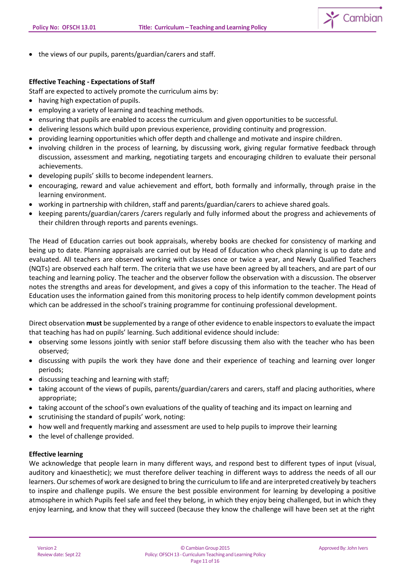

• the views of our pupils, parents/guardian/carers and staff.

## **Effective Teaching - Expectations of Staff**

Staff are expected to actively promote the curriculum aims by:

- having high expectation of pupils.
- employing a variety of learning and teaching methods.
- ensuring that pupils are enabled to access the curriculum and given opportunities to be successful.
- delivering lessons which build upon previous experience, providing continuity and progression.
- providing learning opportunities which offer depth and challenge and motivate and inspire children.
- involving children in the process of learning, by discussing work, giving regular formative feedback through discussion, assessment and marking, negotiating targets and encouraging children to evaluate their personal achievements.
- developing pupils' skills to become independent learners.
- encouraging, reward and value achievement and effort, both formally and informally, through praise in the learning environment.
- working in partnership with children, staff and parents/guardian/carers to achieve shared goals.
- keeping parents/guardian/carers /carers regularly and fully informed about the progress and achievements of their children through reports and parents evenings.

The Head of Education carries out book appraisals, whereby books are checked for consistency of marking and being up to date. Planning appraisals are carried out by Head of Education who check planning is up to date and evaluated. All teachers are observed working with classes once or twice a year, and Newly Qualified Teachers (NQTs) are observed each half term. The criteria that we use have been agreed by all teachers, and are part of our teaching and learning policy. The teacher and the observer follow the observation with a discussion. The observer notes the strengths and areas for development, and gives a copy of this information to the teacher. The Head of Education uses the information gained from this monitoring process to help identify common development points which can be addressed in the school's training programme for continuing professional development.

Direct observation **must** be supplemented by a range of other evidence to enable inspectorsto evaluate the impact that teaching has had on pupils' learning. Such additional evidence should include:

- observing some lessons jointly with senior staff before discussing them also with the teacher who has been observed;
- discussing with pupils the work they have done and their experience of teaching and learning over longer periods;
- discussing teaching and learning with staff;
- taking account of the views of pupils, parents/guardian/carers and carers, staff and placing authorities, where appropriate;
- taking account of the school's own evaluations of the quality of teaching and its impact on learning and
- scrutinising the standard of pupils' work, noting:
- how well and frequently marking and assessment are used to help pupils to improve their learning
- the level of challenge provided.

## **Effective learning**

We acknowledge that people learn in many different ways, and respond best to different types of input (visual, auditory and kinaesthetic); we must therefore deliver teaching in different ways to address the needs of all our learners. Our schemes of work are designed to bring the curriculum to life and are interpreted creatively by teachers to inspire and challenge pupils. We ensure the best possible environment for learning by developing a positive atmosphere in which Pupils feel safe and feel they belong, in which they enjoy being challenged, but in which they enjoy learning, and know that they will succeed (because they know the challenge will have been set at the right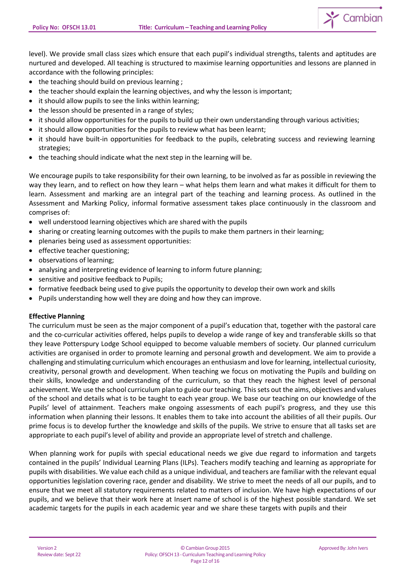

level). We provide small class sizes which ensure that each pupil's individual strengths, talents and aptitudes are nurtured and developed. All teaching is structured to maximise learning opportunities and lessons are planned in accordance with the following principles:

- the teaching should build on previous learning ;
- the teacher should explain the learning objectives, and why the lesson is important;
- it should allow pupils to see the links within learning;
- the lesson should be presented in a range of styles;
- it should allow opportunities for the pupils to build up their own understanding through various activities;
- it should allow opportunities for the pupils to review what has been learnt;
- it should have built-in opportunities for feedback to the pupils, celebrating success and reviewing learning strategies;
- the teaching should indicate what the next step in the learning will be.

We encourage pupils to take responsibility for their own learning, to be involved as far as possible in reviewing the way they learn, and to reflect on how they learn – what helps them learn and what makes it difficult for them to learn. Assessment and marking are an integral part of the teaching and learning process. As outlined in the Assessment and Marking Policy, informal formative assessment takes place continuously in the classroom and comprises of:

- well understood learning objectives which are shared with the pupils
- sharing or creating learning outcomes with the pupils to make them partners in their learning;
- plenaries being used as assessment opportunities:
- effective teacher questioning;
- observations of learning;
- analysing and interpreting evidence of learning to inform future planning;
- sensitive and positive feedback to Pupils;
- formative feedback being used to give pupils the opportunity to develop their own work and skills
- Pupils understanding how well they are doing and how they can improve.

#### **Effective Planning**

The curriculum must be seen as the major component of a pupil's education that, together with the pastoral care and the co-curricular activities offered, helps pupils to develop a wide range of key and transferable skills so that they leave Potterspury Lodge School equipped to become valuable members of society. Our planned curriculum activities are organised in order to promote learning and personal growth and development. We aim to provide a challenging and stimulating curriculum which encourages an enthusiasm and love for learning, intellectual curiosity, creativity, personal growth and development. When teaching we focus on motivating the Pupils and building on their skills, knowledge and understanding of the curriculum, so that they reach the highest level of personal achievement. We use the school curriculum plan to guide our teaching. Thissets out the aims, objectives and values of the school and details what is to be taught to each year group. We base our teaching on our knowledge of the Pupils' level of attainment. Teachers make ongoing assessments of each pupil's progress, and they use this information when planning their lessons. It enables them to take into account the abilities of all their pupils. Our prime focus is to develop further the knowledge and skills of the pupils. We strive to ensure that all tasks set are appropriate to each pupil's level of ability and provide an appropriate level of stretch and challenge.

When planning work for pupils with special educational needs we give due regard to information and targets contained in the pupils' Individual Learning Plans (ILPs). Teachers modify teaching and learning as appropriate for pupils with disabilities. We value each child as a unique individual, and teachers are familiar with the relevant equal opportunities legislation covering race, gender and disability. We strive to meet the needs of all our pupils, and to ensure that we meet all statutory requirements related to matters of inclusion. We have high expectations of our pupils, and we believe that their work here at Insert name of school is of the highest possible standard. We set academic targets for the pupils in each academic year and we share these targets with pupils and their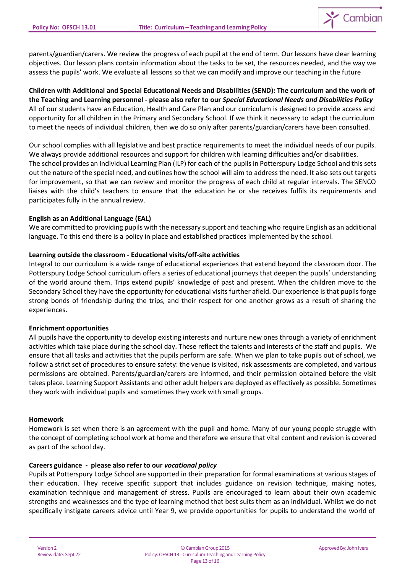

parents/guardian/carers. We review the progress of each pupil at the end of term. Our lessons have clear learning objectives. Our lesson plans contain information about the tasks to be set, the resources needed, and the way we assess the pupils' work. We evaluate all lessons so that we can modify and improve our teaching in the future

**Children with Additional and Special Educational Needs and Disabilities (SEND): The curriculum and the work of the Teaching and Learning personnel - please also refer to our** *Special Educational Needs and Disabilities Policy* All of our students have an Education, Health and Care Plan and our curriculum is designed to provide access and opportunity for all children in the Primary and Secondary School. If we think it necessary to adapt the curriculum to meet the needs of individual children, then we do so only after parents/guardian/carers have been consulted.

Our school complies with all legislative and best practice requirements to meet the individual needs of our pupils. We always provide additional resources and support for children with learning difficulties and/or disabilities. The school provides an Individual Learning Plan (ILP) for each of the pupilsin Potterspury Lodge School and this sets out the nature of the special need, and outlines how the school will aim to address the need. It also sets out targets for improvement, so that we can review and monitor the progress of each child at regular intervals. The SENCO liaises with the child's teachers to ensure that the education he or she receives fulfils its requirements and participates fully in the annual review.

### **English as an Additional Language (EAL)**

We are committed to providing pupils with the necessary support and teaching who require English as an additional language. To this end there is a policy in place and established practices implemented by the school.

### **Learning outside the classroom - Educational visits/off-site activities**

Integral to our curriculum is a wide range of educational experiences that extend beyond the classroom door. The Potterspury Lodge School curriculum offers a series of educational journeys that deepen the pupils' understanding of the world around them. Trips extend pupils' knowledge of past and present. When the children move to the Secondary School they have the opportunity for educational visits further afield. Our experience is that pupils forge strong bonds of friendship during the trips, and their respect for one another grows as a result of sharing the experiences.

#### **Enrichment opportunities**

All pupils have the opportunity to develop existing interests and nurture new ones through a variety of enrichment activities which take place during the school day. These reflect the talents and interests of the staff and pupils. We ensure that all tasks and activities that the pupils perform are safe. When we plan to take pupils out of school, we follow a strict set of procedures to ensure safety: the venue is visited, risk assessments are completed, and various permissions are obtained. Parents/guardian/carers are informed, and their permission obtained before the visit takes place. Learning Support Assistants and other adult helpers are deployed as effectively as possible. Sometimes they work with individual pupils and sometimes they work with small groups.

#### **Homework**

Homework is set when there is an agreement with the pupil and home. Many of our young people struggle with the concept of completing school work at home and therefore we ensure that vital content and revision is covered as part of the school day.

#### **Careers guidance - please also refer to our** *vocational policy*

Pupils at Potterspury Lodge School are supported in their preparation for formal examinations at various stages of their education. They receive specific support that includes guidance on revision technique, making notes, examination technique and management of stress. Pupils are encouraged to learn about their own academic strengths and weaknesses and the type of learning method that best suits them as an individual. Whilst we do not specifically instigate careers advice until Year 9, we provide opportunities for pupils to understand the world of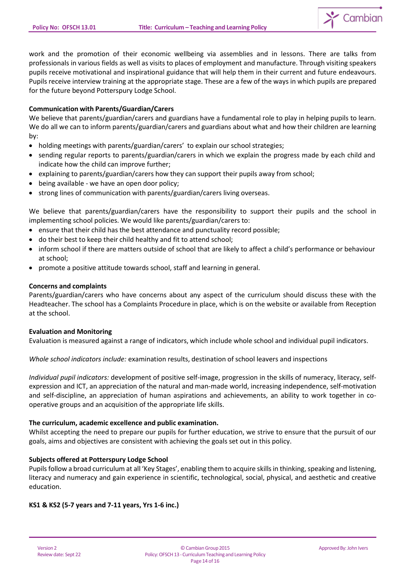

work and the promotion of their economic wellbeing via assemblies and in lessons. There are talks from professionals in various fields as well as visits to places of employment and manufacture. Through visiting speakers pupils receive motivational and inspirational guidance that will help them in their current and future endeavours. Pupils receive interview training at the appropriate stage. These are a few of the ways in which pupils are prepared for the future beyond Potterspury Lodge School.

## **Communication with Parents/Guardian/Carers**

We believe that parents/guardian/carers and guardians have a fundamental role to play in helping pupils to learn. We do all we can to inform parents/guardian/carers and guardians about what and how their children are learning by:

- holding meetings with parents/guardian/carers' to explain our school strategies;
- sending regular reports to parents/guardian/carers in which we explain the progress made by each child and indicate how the child can improve further;
- explaining to parents/guardian/carers how they can support their pupils away from school;
- being available we have an open door policy;
- strong lines of communication with parents/guardian/carers living overseas.

We believe that parents/guardian/carers have the responsibility to support their pupils and the school in implementing school policies. We would like parents/guardian/carers to:

- ensure that their child has the best attendance and punctuality record possible;
- do their best to keep their child healthy and fit to attend school;
- inform school if there are matters outside of school that are likely to affect a child's performance or behaviour at school;
- promote a positive attitude towards school, staff and learning in general.

### **Concerns and complaints**

Parents/guardian/carers who have concerns about any aspect of the curriculum should discuss these with the Headteacher. The school has a Complaints Procedure in place, which is on the website or available from Reception at the school.

## **Evaluation and Monitoring**

Evaluation is measured against a range of indicators, which include whole school and individual pupil indicators.

*Whole school indicators include:* examination results, destination of school leavers and inspections

*Individual pupil indicators:* development of positive self-image, progression in the skills of numeracy, literacy, selfexpression and ICT, an appreciation of the natural and man-made world, increasing independence, self-motivation and self-discipline, an appreciation of human aspirations and achievements, an ability to work together in cooperative groups and an acquisition of the appropriate life skills.

## **The curriculum, academic excellence and public examination.**

Whilst accepting the need to prepare our pupils for further education, we strive to ensure that the pursuit of our goals, aims and objectives are consistent with achieving the goals set out in this policy.

## **Subjects offered at Potterspury Lodge School**

Pupils follow a broad curriculum at all 'Key Stages', enabling them to acquire skills in thinking, speaking and listening, literacy and numeracy and gain experience in scientific, technological, social, physical, and aesthetic and creative education.

## **KS1 & KS2 (5-7 years and 7-11 years, Yrs 1-6 inc.)**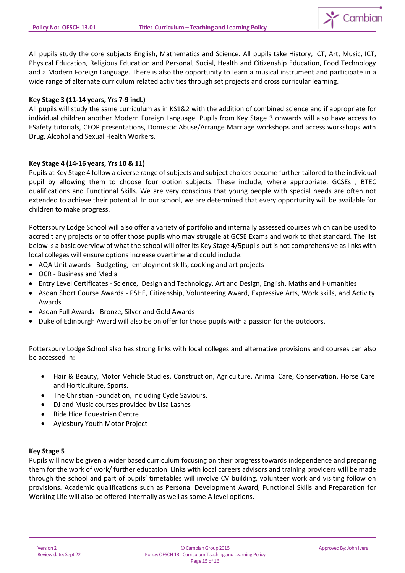

All pupils study the core subjects English, Mathematics and Science. All pupils take History, ICT, Art, Music, ICT, Physical Education, Religious Education and Personal, Social, Health and Citizenship Education, Food Technology and a Modern Foreign Language. There is also the opportunity to learn a musical instrument and participate in a wide range of alternate curriculum related activities through set projects and cross curricular learning.

## **Key Stage 3 (11-14 years, Yrs 7-9 incl.)**

All pupils will study the same curriculum as in KS1&2 with the addition of combined science and if appropriate for individual children another Modern Foreign Language. Pupils from Key Stage 3 onwards will also have access to ESafety tutorials, CEOP presentations, Domestic Abuse/Arrange Marriage workshops and access workshops with Drug, Alcohol and Sexual Health Workers.

# **Key Stage 4 (14-16 years, Yrs 10 & 11)**

Pupils at Key Stage 4 follow a diverse range of subjects and subject choices become further tailored to the individual pupil by allowing them to choose four option subjects. These include, where appropriate, GCSEs , BTEC qualifications and Functional Skills. We are very conscious that young people with special needs are often not extended to achieve their potential. In our school, we are determined that every opportunity will be available for children to make progress.

Potterspury Lodge School will also offer a variety of portfolio and internally assessed courses which can be used to accredit any projects or to offer those pupils who may struggle at GCSE Exams and work to that standard. The list below is a basic overview of what the school will offer its Key Stage 4/5pupils but is not comprehensive as links with local colleges will ensure options increase overtime and could include:

- AQA Unit awards Budgeting, employment skills, cooking and art projects
- OCR Business and Media
- Entry Level Certificates Science, Design and Technology, Art and Design, English, Maths and Humanities
- Asdan Short Course Awards PSHE, Citizenship, Volunteering Award, Expressive Arts, Work skills, and Activity Awards
- Asdan Full Awards Bronze, Silver and Gold Awards
- Duke of Edinburgh Award will also be on offer for those pupils with a passion for the outdoors.

Potterspury Lodge School also has strong links with local colleges and alternative provisions and courses can also be accessed in:

- Hair & Beauty, Motor Vehicle Studies, Construction, Agriculture, Animal Care, Conservation, Horse Care and Horticulture, Sports.
- The Christian Foundation, including Cycle Saviours.
- DJ and Music courses provided by Lisa Lashes
- Ride Hide Equestrian Centre
- Aylesbury Youth Motor Project

## **Key Stage 5**

Pupils will now be given a wider based curriculum focusing on their progress towards independence and preparing them for the work of work/ further education. Links with local careers advisors and training providers will be made through the school and part of pupils' timetables will involve CV building, volunteer work and visiting follow on provisions. Academic qualifications such as Personal Development Award, Functional Skills and Preparation for Working Life will also be offered internally as well as some A level options.